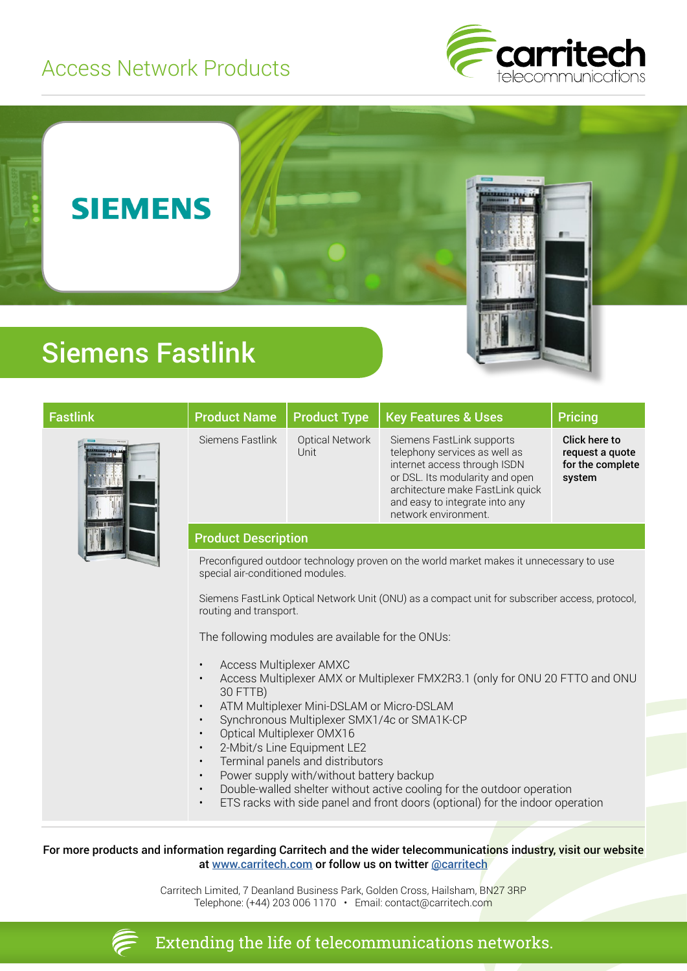## Access Network Products







## Siemens Fastlink

| <b>Fastlink</b> | <b>Product Name</b>                                                                                                                                                                                                                                                                                                                                                                                                                                                                                                                                                        | <b>Product Type</b>            | <b>Key Features &amp; Uses</b>                                                                                                                                                                                              | <b>Pricing</b>                                                        |
|-----------------|----------------------------------------------------------------------------------------------------------------------------------------------------------------------------------------------------------------------------------------------------------------------------------------------------------------------------------------------------------------------------------------------------------------------------------------------------------------------------------------------------------------------------------------------------------------------------|--------------------------------|-----------------------------------------------------------------------------------------------------------------------------------------------------------------------------------------------------------------------------|-----------------------------------------------------------------------|
|                 | Siemens Fastlink                                                                                                                                                                                                                                                                                                                                                                                                                                                                                                                                                           | <b>Optical Network</b><br>Unit | Siemens FastLink supports<br>telephony services as well as<br>internet access through ISDN<br>or DSL. Its modularity and open<br>architecture make FastLink quick<br>and easy to integrate into any<br>network environment. | <b>Click here to</b><br>request a quote<br>for the complete<br>system |
|                 | <b>Product Description</b>                                                                                                                                                                                                                                                                                                                                                                                                                                                                                                                                                 |                                |                                                                                                                                                                                                                             |                                                                       |
|                 | Preconfigured outdoor technology proven on the world market makes it unnecessary to use<br>special air-conditioned modules.                                                                                                                                                                                                                                                                                                                                                                                                                                                |                                |                                                                                                                                                                                                                             |                                                                       |
|                 | Siemens FastLink Optical Network Unit (ONU) as a compact unit for subscriber access, protocol,<br>routing and transport.                                                                                                                                                                                                                                                                                                                                                                                                                                                   |                                |                                                                                                                                                                                                                             |                                                                       |
|                 | The following modules are available for the ONUs:                                                                                                                                                                                                                                                                                                                                                                                                                                                                                                                          |                                |                                                                                                                                                                                                                             |                                                                       |
|                 | Access Multiplexer AMXC<br>$\bullet$<br>Access Multiplexer AMX or Multiplexer FMX2R3.1 (only for ONU 20 FTTO and ONU<br>30 FTTB)<br>ATM Multiplexer Mini-DSLAM or Micro-DSLAM<br>Synchronous Multiplexer SMX1/4c or SMA1K-CP<br>Optical Multiplexer OMX16<br>2-Mbit/s Line Equipment LE2<br>Terminal panels and distributors<br>$\bullet$<br>Power supply with/without battery backup<br>$\bullet$<br>Double-walled shelter without active cooling for the outdoor operation<br>$\bullet$<br>ETS racks with side panel and front doors (optional) for the indoor operation |                                |                                                                                                                                                                                                                             |                                                                       |

For more products and information regarding Carritech and the wider telecommunications industry, visit our website at [www.carritech.com](http://www.carritech.com) or follow us on twitter @carritech

> Carritech Limited, 7 Deanland Business Park, Golden Cross, Hailsham, BN27 3RP Telephone: (+44) 203 006 1170 • Email: contact@carritech.com